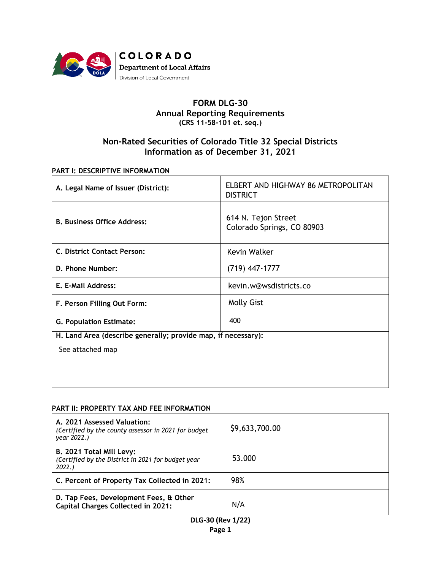

## **FORM DLG-30 Annual Reporting Requirements (CRS 11-58-101 et. seq.)**

# **Non-Rated Securities of Colorado Title 32 Special Districts Information as of December 31, 2021**

#### **PART I: DESCRIPTIVE INFORMATION**

| A. Legal Name of Issuer (District):                           | ELBERT AND HIGHWAY 86 METROPOLITAN<br><b>DISTRICT</b> |  |  |  |  |
|---------------------------------------------------------------|-------------------------------------------------------|--|--|--|--|
| <b>B. Business Office Address:</b>                            | 614 N. Tejon Street<br>Colorado Springs, CO 80903     |  |  |  |  |
| C. District Contact Person:                                   | Kevin Walker                                          |  |  |  |  |
| D. Phone Number:                                              | $(719)$ 447-1777                                      |  |  |  |  |
| E. E-Mail Address:                                            | kevin.w@wsdistricts.co                                |  |  |  |  |
| F. Person Filling Out Form:                                   | <b>Molly Gist</b>                                     |  |  |  |  |
| <b>G. Population Estimate:</b>                                | 400                                                   |  |  |  |  |
| H. Land Area (describe generally; provide map, if necessary): |                                                       |  |  |  |  |
| See attached map                                              |                                                       |  |  |  |  |
|                                                               |                                                       |  |  |  |  |
|                                                               |                                                       |  |  |  |  |

#### **PART II: PROPERTY TAX AND FEE INFORMATION**

| A. 2021 Assessed Valuation:<br>(Certified by the county assessor in 2021 for budget)<br>year 2022.) | \$9,633,700.00 |
|-----------------------------------------------------------------------------------------------------|----------------|
| B. 2021 Total Mill Levy:<br>(Certified by the District in 2021 for budget year<br>2022.             | 53.000         |
| C. Percent of Property Tax Collected in 2021:                                                       | 98%            |
| D. Tap Fees, Development Fees, & Other<br><b>Capital Charges Collected in 2021:</b>                 | N/A            |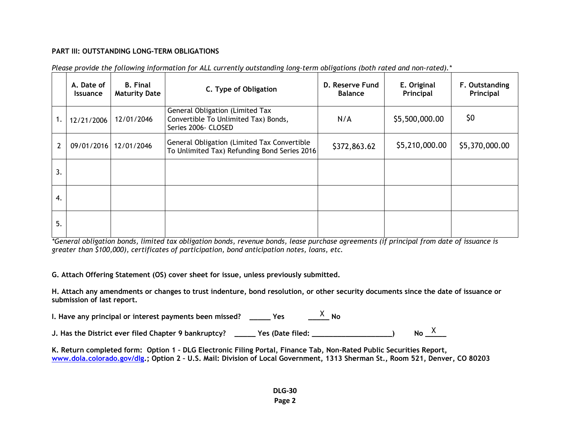### **PART III: OUTSTANDING LONG-TERM OBLIGATIONS**

|                | A. Date of<br><b>Issuance</b> | <b>B.</b> Final<br><b>Maturity Date</b> | C. Type of Obligation                                                                          | D. Reserve Fund<br><b>Balance</b> | E. Original<br>Principal | F. Outstanding<br>Principal |
|----------------|-------------------------------|-----------------------------------------|------------------------------------------------------------------------------------------------|-----------------------------------|--------------------------|-----------------------------|
| ι.             | 12/21/2006                    | 12/01/2046                              | General Obligation (Limited Tax<br>Convertible To Unlimited Tax) Bonds,<br>Series 2006- CLOSED | N/A                               | \$5,500,000.00           | \$0                         |
| $\overline{2}$ | 09/01/2016                    | 12/01/2046                              | General Obligation (Limited Tax Convertible<br>To Unlimited Tax) Refunding Bond Series 2016    | \$372,863.62                      | \$5,210,000.00           | \$5,370,000.00              |
| 3.             |                               |                                         |                                                                                                |                                   |                          |                             |
| 4.             |                               |                                         |                                                                                                |                                   |                          |                             |
| 5.             |                               |                                         |                                                                                                |                                   |                          |                             |

|  |  |  |  | Please provide the following information for ALL currently outstanding long-term obligations (both rated and non-rated).* |  |
|--|--|--|--|---------------------------------------------------------------------------------------------------------------------------|--|
|  |  |  |  |                                                                                                                           |  |

*\*General obligation bonds, limited tax obligation bonds, revenue bonds, lease purchase agreements (if principal from date of issuance is greater than \$100,000), certificates of participation, bond anticipation notes, loans, etc.*

**G. Attach Offering Statement (OS) cover sheet for issue, unless previously submitted.**

**H. Attach any amendments or changes to trust indenture, bond resolution, or other security documents since the date of issuance or submission of last report.**

**I. Have any principal or interest payments been missed? \_\_\_\_\_ Yes \_\_\_\_\_ No** X

J. Has the District ever filed Chapter 9 bankruptcy?  $\quad$  \_\_\_\_\_ Yes (Date filed: \_\_\_\_\_\_\_\_\_\_\_\_\_\_\_\_\_\_\_\_) No  $\frac{\chi}{\chi}$ 

**K. Return completed form: Option 1 – DLG Electronic Filing Portal, Finance Tab, Non-Rated Public Securities Report, [www.dola.colorado.gov/dlg.](http://www.dola.colorado.gov/dlg); Option 2 – U.S. Mail: Division of Local Government, 1313 Sherman St., Room 521, Denver, CO 80203**

> **DLG-30 Page 2**